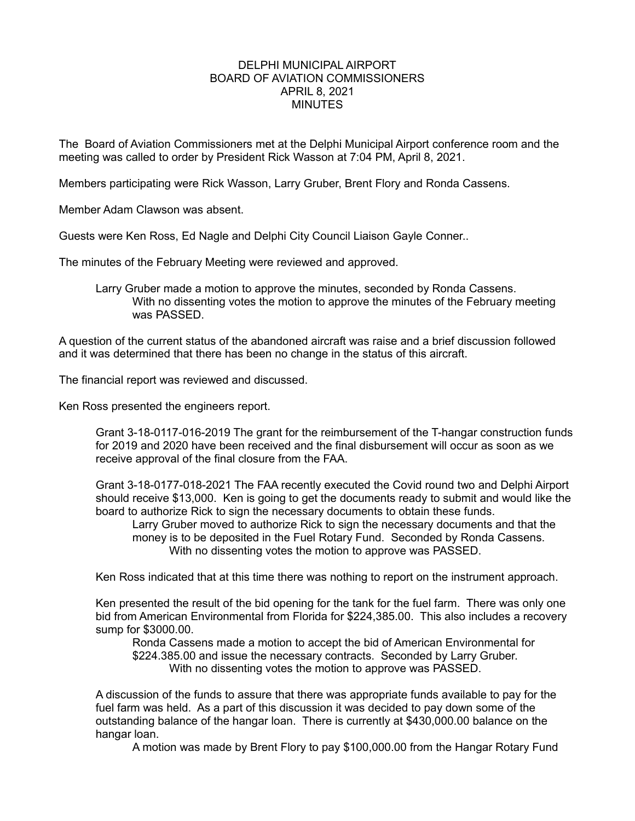# DELPHI MUNICIPAL AIRPORT BOARD OF AVIATION COMMISSIONERS APRIL 8, 2021 **MINUTES**

The Board of Aviation Commissioners met at the Delphi Municipal Airport conference room and the meeting was called to order by President Rick Wasson at 7:04 PM, April 8, 2021.

Members participating were Rick Wasson, Larry Gruber, Brent Flory and Ronda Cassens.

Member Adam Clawson was absent.

Guests were Ken Ross, Ed Nagle and Delphi City Council Liaison Gayle Conner..

The minutes of the February Meeting were reviewed and approved.

Larry Gruber made a motion to approve the minutes, seconded by Ronda Cassens. With no dissenting votes the motion to approve the minutes of the February meeting was PASSED.

A question of the current status of the abandoned aircraft was raise and a brief discussion followed and it was determined that there has been no change in the status of this aircraft.

The financial report was reviewed and discussed.

Ken Ross presented the engineers report.

Grant 3-18-0117-016-2019 The grant for the reimbursement of the T-hangar construction funds for 2019 and 2020 have been received and the final disbursement will occur as soon as we receive approval of the final closure from the FAA.

Grant 3-18-0177-018-2021 The FAA recently executed the Covid round two and Delphi Airport should receive \$13,000. Ken is going to get the documents ready to submit and would like the board to authorize Rick to sign the necessary documents to obtain these funds.

Larry Gruber moved to authorize Rick to sign the necessary documents and that the money is to be deposited in the Fuel Rotary Fund. Seconded by Ronda Cassens. With no dissenting votes the motion to approve was PASSED.

Ken Ross indicated that at this time there was nothing to report on the instrument approach.

Ken presented the result of the bid opening for the tank for the fuel farm. There was only one bid from American Environmental from Florida for \$224,385.00. This also includes a recovery sump for \$3000.00.

Ronda Cassens made a motion to accept the bid of American Environmental for \$224.385.00 and issue the necessary contracts. Seconded by Larry Gruber. With no dissenting votes the motion to approve was PASSED.

A discussion of the funds to assure that there was appropriate funds available to pay for the fuel farm was held. As a part of this discussion it was decided to pay down some of the outstanding balance of the hangar loan. There is currently at \$430,000.00 balance on the hangar loan.

A motion was made by Brent Flory to pay \$100,000.00 from the Hangar Rotary Fund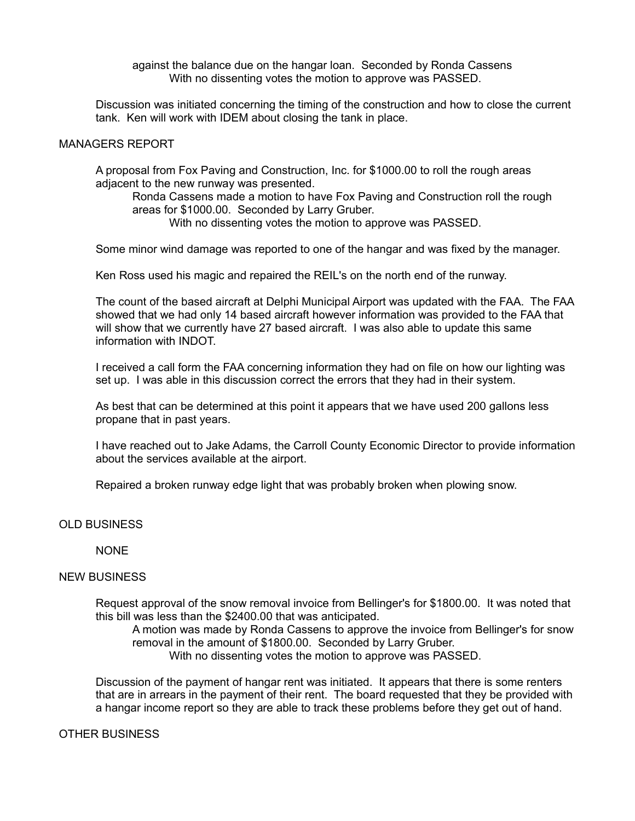against the balance due on the hangar loan. Seconded by Ronda Cassens With no dissenting votes the motion to approve was PASSED.

Discussion was initiated concerning the timing of the construction and how to close the current tank. Ken will work with IDEM about closing the tank in place.

# MANAGERS REPORT

A proposal from Fox Paving and Construction, Inc. for \$1000.00 to roll the rough areas adjacent to the new runway was presented.

Ronda Cassens made a motion to have Fox Paving and Construction roll the rough areas for \$1000.00. Seconded by Larry Gruber. With no dissenting votes the motion to approve was PASSED.

Some minor wind damage was reported to one of the hangar and was fixed by the manager.

Ken Ross used his magic and repaired the REIL's on the north end of the runway.

The count of the based aircraft at Delphi Municipal Airport was updated with the FAA. The FAA showed that we had only 14 based aircraft however information was provided to the FAA that will show that we currently have 27 based aircraft. I was also able to update this same information with INDOT.

I received a call form the FAA concerning information they had on file on how our lighting was set up. I was able in this discussion correct the errors that they had in their system.

As best that can be determined at this point it appears that we have used 200 gallons less propane that in past years.

I have reached out to Jake Adams, the Carroll County Economic Director to provide information about the services available at the airport.

Repaired a broken runway edge light that was probably broken when plowing snow.

# OLD BUSINESS

**NONE** 

# NEW BUSINESS

Request approval of the snow removal invoice from Bellinger's for \$1800.00. It was noted that this bill was less than the \$2400.00 that was anticipated.

A motion was made by Ronda Cassens to approve the invoice from Bellinger's for snow removal in the amount of \$1800.00. Seconded by Larry Gruber. With no dissenting votes the motion to approve was PASSED.

Discussion of the payment of hangar rent was initiated. It appears that there is some renters that are in arrears in the payment of their rent. The board requested that they be provided with a hangar income report so they are able to track these problems before they get out of hand.

#### OTHER BUSINESS